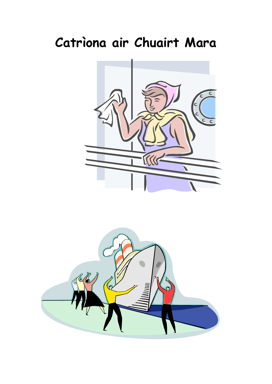# Catriona air Chuairt Mara



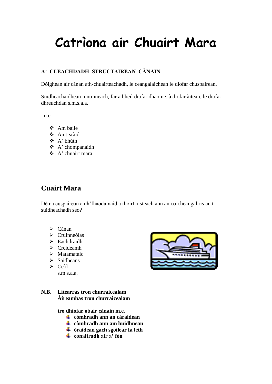# **Catrìona air Chuairt Mara**

### **A' CLEACHDADH STRUCTAIREAN CÀNAIN**

Dòighean air cànan ath-chuairteachadh, le ceangalaichean le diofar chuspairean.

Suidheachaidhean inntinneach, far a bheil diofar dhaoine, à diofar àitean, le diofar dhreuchdan s.m.s.a.a.

m.e.

- $\triangle$  Am baile
- An t-sràid
- A' bhùth
- A' chompanaidh
- $\triangle$  A' chuairt mara

## **Cuairt Mara**

Dè na cuspairean a dh'fhaodamaid a thoirt a-steach ann an co-cheangal ris an tsuidheachadh seo?

- $\triangleright$  Cànan
- $\triangleright$  Cruinneòlas
- $\triangleright$  Eachdraidh
- $\triangleright$  Creideamh
- $\triangleright$  Matamataic
- $\triangleright$  Saidheans
- $\triangleright$  Ceòl s.m.s.a.a.
- **N.B. Litearras tron churraicealam Àireamhas tron churraicealam**

**tro dhiofar obair cànain m.e.**

- **còmhradh ann an càraidean**
- **còmhradh ann am buidhnean**
- **òraidean gach sgoilear fa leth**
- **conaltradh air a' fòn**

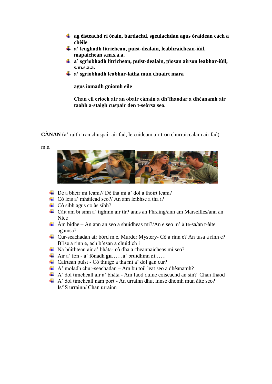- **ag èisteachd ri òrain, bàrdachd, sgeulachdan agus òraidean càch a chèile**
- **a' leughadh litrichean, puist-dealain, leabhraichean-iùil, mapaichean s.m.s.a.a.**
- **a' sgrìobhadh litrichean, puist-dealain, pìosan airson leabhar-iùil, s.m.s.a.a.**
- **a' sgrìobhadh leabhar-latha mun chuairt mara**

**agus iomadh gnìomh eile**

**Chan eil crìoch air an obair cànain a dh'fhaodar a dhèanamh air taobh a-staigh cuspair den t-seòrsa seo.**

**CÀNAN** (a' ruith tron chuspair air fad, le cuideam air tron churraicealam air fad)

m.e.



- $\triangle$  Dè a bheir mi leam?/ Dè tha mi a' dol a thoirt leam?
- $\overline{\phantom{a}}$  Cò leis a' mhàilead seo?/ An ann leibhse a tha i?
- $\downarrow$  Cò sibh agus co às sibh?
- Càit am bi sinn a' tighinn air tìr? anns an Fhraing/ann am Marseilles/ann an Nice
- $\frac{1}{\sqrt{2}}$  Àm bidhe An ann an seo a shuidheas mi?/An e seo m' àite-sa/an t-àite agamsa?
- Cur-seachadan air bòrd m.e. Murder Mystery- Cò a rinn e? An tusa a rinn e? B'ise a rinn e, ach b'esan a chuidich i
- Na bùithtean air a' bhàta- cò dha a cheannaicheas mi seo?
- Air a' fòn a' fònadh **gu**……a' bruidhinn **ri**……
- $\overline{\text{L}}$  Cairtean puist Cò thuige a tha mi a' dol gan cur?
- $\uparrow$  A' moladh chur-seachadan Am bu toil leat seo a dhèanamh?
- A' dol timcheall air a' bhàta Am faod duine coiseachd an sin? Chan fhaod
- $\uparrow$  A' dol timcheall nam port An urrainn dhut innse dhomh mun àite seo? Is/'S urrainn/ Chan urrainn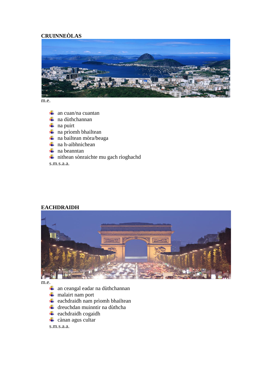### **CRUINNEÒLAS**



m.e.

- $\frac{1}{\sqrt{2}}$  an cuan/na cuantan
- $\downarrow$  na dùthchannan
- $\frac{1}{\sqrt{2}}$  na puirt
- $\overline{\text{ }}$  na prìomh bhailtean
- $\frac{1}{\sqrt{2}}$  na bailtean mòra/beaga
- $\frac{1}{\sqrt{2}}$  na h-aibhnichean
- $\downarrow$  na beanntan
- $\frac{1}{\sqrt{1}}$  nithean sònraichte mu gach rìoghachd

s.m.s.a.a.

#### **EACHDRAIDH**



m.e.

- $\frac{1}{\sqrt{1}}$  an ceangal eadar na dùthchannan
- $\overline{\text{+}}$  malairt nam port
- $\overline{\phantom{a}}$  eachdraidh nam prìomh bhailtean
- $\downarrow$  dreuchdan muinntir na dùthcha
- $\overline{\phantom{a}}$  eachdraidh cogaidh
- $\overline{\phantom{a}}$  cànan agus cultar

s.m.s.a.a.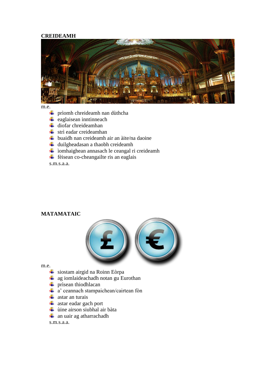#### **CREIDEAMH**



m.e.

- prìomh chreideamh nan dùthcha
- $\overline{\phantom{a}}$  eaglaisean inntinneach
- $\downarrow$  diofar chreideamhan
- $\pm$  strì eadar creideamhan
- buaidh nan creideamh air an àite/na daoine
- $\downarrow$  duilgheadasan a thaobh creideamh
- $\overline{\text{}}$  ìomhaighean annasach le ceangal ri creideamh
- $\overline{\phantom{a}}$  fèisean co-cheangailte ris an eaglais

s.m.s.a.a.

#### **MATAMATAIC**



m.e.

- siostam airgid na Roinn Eòrpa
- $\overline{\text{4}}$  ag iomlaideachadh notan gu Eurothan
- $\overline{\text{ }}$  prìsean thiodhlacan
- $\overline{\textbf{a}}$  ceannach stampaichean/cairtean fòn
- $\overline{\phantom{a}}$  astar an turais
- $\overline{\text{#}}$  astar eadar gach port
- ùine airson siubhal air bàta
- $\downarrow$  an uair ag atharrachadh

s.m.s.a.a.